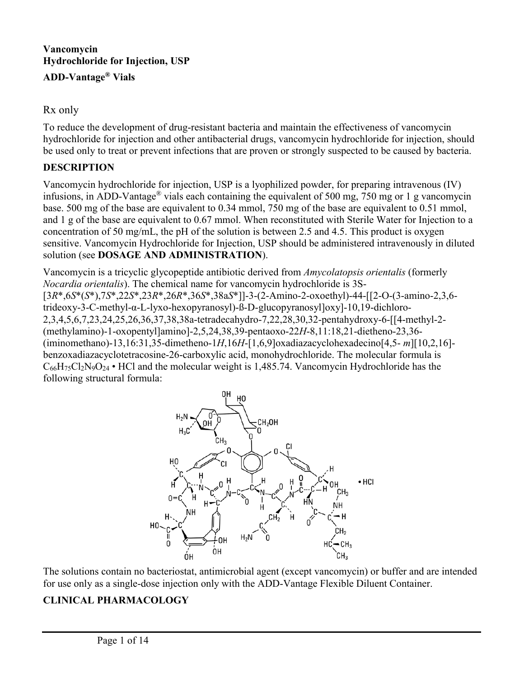### **Vancomycin Hydrochloride for Injection, USP ADD-Vantage® Vials**

#### Rx only

To reduce the development of drug-resistant bacteria and maintain the effectiveness of vancomycin hydrochloride for injection and other antibacterial drugs, vancomycin hydrochloride for injection, should be used only to treat or prevent infections that are proven or strongly suspected to be caused by bacteria.

#### **DESCRIPTION**

Vancomycin hydrochloride for injection, USP is a lyophilized powder, for preparing intravenous (IV) infusions, in ADD-Vantage® vials each containing the equivalent of 500 mg, 750 mg or 1 g vancomycin base. 500 mg of the base are equivalent to 0.34 mmol, 750 mg of the base are equivalent to 0.51 mmol, and 1 g of the base are equivalent to 0.67 mmol. When reconstituted with Sterile Water for Injection to a concentration of 50 mg/mL, the pH of the solution is between 2.5 and 4.5. This product is oxygen sensitive. Vancomycin Hydrochloride for Injection, USP should be administered intravenously in diluted solution (see **DOSAGE AND ADMINISTRATION**).

Vancomycin is a tricyclic glycopeptide antibiotic derived from *Amycolatopsis orientalis* (formerly *Nocardia orientalis*). The chemical name for vancomycin hydrochloride is 3S- [3*R*\*,6*S*\*(*S*\*),7*S*\*,22*S*\*,23*R*\*,26*R*\*,36*S*\*,38a*S*\*]]-3-(2-Amino-2-oxoethyl)-44-[[2-O-(3-amino-2,3,6 trideoxy-3-C-methyl-α-L-lyxo-hexopyranosyl)-ß-D-glucopyranosyl]oxy]-10,19-dichloro-2,3,4,5,6,7,23,24,25,26,36,37,38,38a-tetradecahydro-7,22,28,30,32-pentahydroxy-6-[[4-methyl-2- (methylamino)-1-oxopentyl]amino]-2,5,24,38,39-pentaoxo-22*H*-8,11:18,21-dietheno-23,36- (iminomethano)-13,16:31,35-dimetheno-1*H*,16*H*-[1,6,9]oxadiazacyclohexadecino[4,5- *m*][10,2,16] benzoxadiazacyclotetracosine-26-carboxylic acid, monohydrochloride. The molecular formula is  $C_{66}H_{75}Cl_2N_9O_{24}$  • HCl and the molecular weight is 1,485.74. Vancomycin Hydrochloride has the following structural formula:



The solutions contain no bacteriostat, antimicrobial agent (except vancomycin) or buffer and are intended for use only as a single-dose injection only with the ADD-Vantage Flexible Diluent Container.

### **CLINICAL PHARMACOLOGY**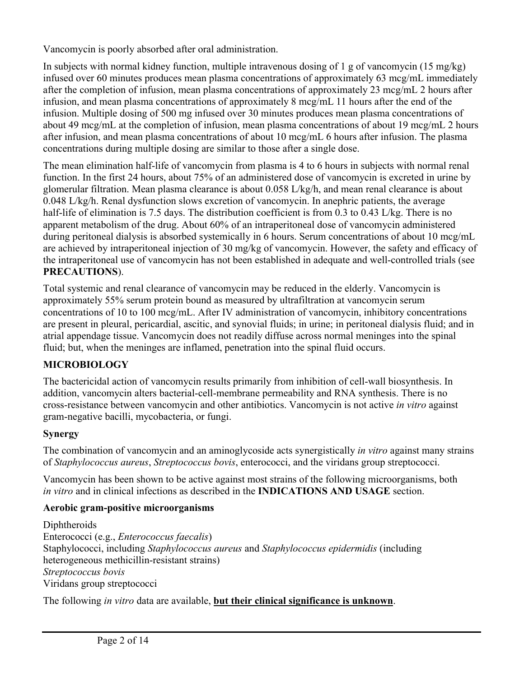Vancomycin is poorly absorbed after oral administration.

In subjects with normal kidney function, multiple intravenous dosing of 1 g of vancomycin (15 mg/kg) infused over 60 minutes produces mean plasma concentrations of approximately 63 mcg/mL immediately after the completion of infusion, mean plasma concentrations of approximately 23 mcg/mL 2 hours after infusion, and mean plasma concentrations of approximately 8 mcg/mL 11 hours after the end of the infusion. Multiple dosing of 500 mg infused over 30 minutes produces mean plasma concentrations of about 49 mcg/mL at the completion of infusion, mean plasma concentrations of about 19 mcg/mL 2 hours after infusion, and mean plasma concentrations of about 10 mcg/mL 6 hours after infusion. The plasma concentrations during multiple dosing are similar to those after a single dose.

The mean elimination half-life of vancomycin from plasma is 4 to 6 hours in subjects with normal renal function. In the first 24 hours, about 75% of an administered dose of vancomycin is excreted in urine by glomerular filtration. Mean plasma clearance is about 0.058 L/kg/h, and mean renal clearance is about 0.048 L/kg/h. Renal dysfunction slows excretion of vancomycin. In anephric patients, the average half-life of elimination is 7.5 days. The distribution coefficient is from 0.3 to 0.43 L/kg. There is no apparent metabolism of the drug. About 60% of an intraperitoneal dose of vancomycin administered during peritoneal dialysis is absorbed systemically in 6 hours. Serum concentrations of about 10 mcg/mL are achieved by intraperitoneal injection of 30 mg/kg of vancomycin. However, the safety and efficacy of the intraperitoneal use of vancomycin has not been established in adequate and well-controlled trials (see **PRECAUTIONS**).

Total systemic and renal clearance of vancomycin may be reduced in the elderly. Vancomycin is approximately 55% serum protein bound as measured by ultrafiltration at vancomycin serum concentrations of 10 to 100 mcg/mL. After IV administration of vancomycin, inhibitory concentrations are present in pleural, pericardial, ascitic, and synovial fluids; in urine; in peritoneal dialysis fluid; and in atrial appendage tissue. Vancomycin does not readily diffuse across normal meninges into the spinal fluid; but, when the meninges are inflamed, penetration into the spinal fluid occurs.

# **MICROBIOLOGY**

The bactericidal action of vancomycin results primarily from inhibition of cell-wall biosynthesis. In addition, vancomycin alters bacterial-cell-membrane permeability and RNA synthesis. There is no cross-resistance between vancomycin and other antibiotics. Vancomycin is not active *in vitro* against gram-negative bacilli, mycobacteria, or fungi.

### **Synergy**

The combination of vancomycin and an aminoglycoside acts synergistically *in vitro* against many strains of *Staphylococcus aureus*, *Streptococcus bovis*, enterococci, and the viridans group streptococci.

Vancomycin has been shown to be active against most strains of the following microorganisms, both *in vitro* and in clinical infections as described in the **INDICATIONS AND USAGE** section.

### **Aerobic gram-positive microorganisms**

Diphtheroids Enterococci (e.g., *Enterococcus faecalis*) Staphylococci, including *Staphylococcus aureus* and *Staphylococcus epidermidis* (including heterogeneous methicillin-resistant strains) *Streptococcus bovis* Viridans group streptococci

The following *in vitro* data are available, **but their clinical significance is unknown**.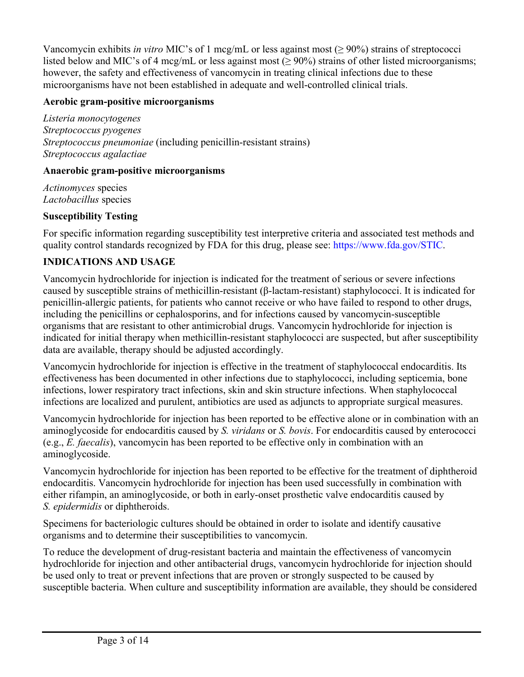Vancomycin exhibits *in vitro* MIC's of 1 mcg/mL or less against most (≥ 90%) strains of streptococci listed below and MIC's of 4 mcg/mL or less against most ( $\geq 90\%$ ) strains of other listed microorganisms; however, the safety and effectiveness of vancomycin in treating clinical infections due to these microorganisms have not been established in adequate and well-controlled clinical trials.

### **Aerobic gram-positive microorganisms**

*Listeria monocytogenes Streptococcus pyogenes Streptococcus pneumoniae* (including penicillin-resistant strains) *Streptococcus agalactiae*

#### **Anaerobic gram-positive microorganisms**

*Actinomyces* species *Lactobacillus* species

### **Susceptibility Testing**

For specific information regarding susceptibility test interpretive criteria and associated test methods and quality control standards recognized by FDA for this drug, please see: [https://www.fda.gov/STIC.](https://www.fda.gov/STIC)

### **INDICATIONS AND USAGE**

Vancomycin hydrochloride for injection is indicated for the treatment of serious or severe infections caused by susceptible strains of methicillin-resistant (β-lactam-resistant) staphylococci. It is indicated for penicillin-allergic patients, for patients who cannot receive or who have failed to respond to other drugs, including the penicillins or cephalosporins, and for infections caused by vancomycin-susceptible organisms that are resistant to other antimicrobial drugs. Vancomycin hydrochloride for injection is indicated for initial therapy when methicillin-resistant staphylococci are suspected, but after susceptibility data are available, therapy should be adjusted accordingly.

Vancomycin hydrochloride for injection is effective in the treatment of staphylococcal endocarditis. Its effectiveness has been documented in other infections due to staphylococci, including septicemia, bone infections, lower respiratory tract infections, skin and skin structure infections. When staphylococcal infections are localized and purulent, antibiotics are used as adjuncts to appropriate surgical measures.

Vancomycin hydrochloride for injection has been reported to be effective alone or in combination with an aminoglycoside for endocarditis caused by *S. viridans* or *S. bovis*. For endocarditis caused by enterococci (e.g., *E. faecalis*), vancomycin has been reported to be effective only in combination with an aminoglycoside.

Vancomycin hydrochloride for injection has been reported to be effective for the treatment of diphtheroid endocarditis. Vancomycin hydrochloride for injection has been used successfully in combination with either rifampin, an aminoglycoside, or both in early-onset prosthetic valve endocarditis caused by *S. epidermidis* or diphtheroids.

Specimens for bacteriologic cultures should be obtained in order to isolate and identify causative organisms and to determine their susceptibilities to vancomycin.

To reduce the development of drug-resistant bacteria and maintain the effectiveness of vancomycin hydrochloride for injection and other antibacterial drugs, vancomycin hydrochloride for injection should be used only to treat or prevent infections that are proven or strongly suspected to be caused by susceptible bacteria. When culture and susceptibility information are available, they should be considered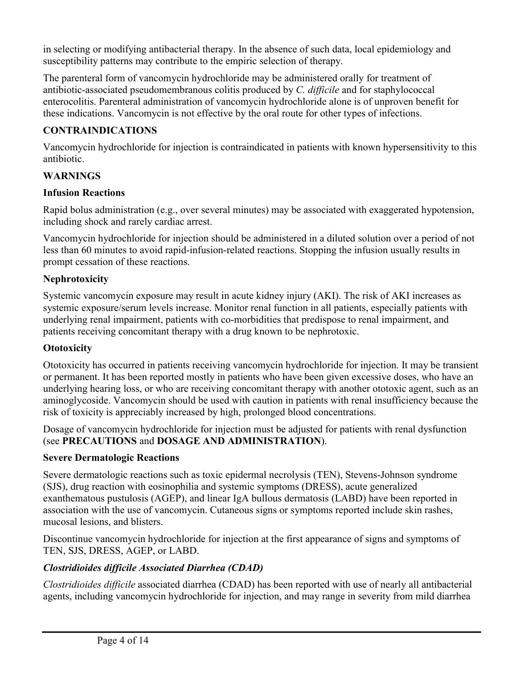in selecting or modifying antibacterial therapy. In the absence of such data, local epidemiology and susceptibility patterns may contribute to the empiric selection of therapy.

The parenteral form of vancomycin hydrochloride may be administered orally for treatment of antibiotic-associated pseudomembranous colitis produced by *C. difficile* and for staphylococcal enterocolitis. Parenteral administration of vancomycin hydrochloride alone is of unproven benefit for these indications. Vancomycin is not effective by the oral route for other types of infections.

### **CONTRAINDICATIONS**

Vancomycin hydrochloride for injection is contraindicated in patients with known hypersensitivity to this antibiotic.

### **WARNINGS**

### **Infusion Reactions**

Rapid bolus administration (e.g., over several minutes) may be associated with exaggerated hypotension, including shock and rarely cardiac arrest.

Vancomycin hydrochloride for injection should be administered in a diluted solution over a period of not less than 60 minutes to avoid rapid-infusion-related reactions. Stopping the infusion usually results in prompt cessation of these reactions.

### **Nephrotoxicity**

Systemic vancomycin exposure may result in acute kidney injury (AKI). The risk of AKI increases as systemic exposure/serum levels increase. Monitor renal function in all patients, especially patients with underlying renal impairment, patients with co-morbidities that predispose to renal impairment, and patients receiving concomitant therapy with a drug known to be nephrotoxic.

### **Ototoxicity**

Ototoxicity has occurred in patients receiving vancomycin hydrochloride for injection. It may be transient or permanent. It has been reported mostly in patients who have been given excessive doses, who have an underlying hearing loss, or who are receiving concomitant therapy with another ototoxic agent, such as an aminoglycoside. Vancomycin should be used with caution in patients with renal insufficiency because the risk of toxicity is appreciably increased by high, prolonged blood concentrations.

Dosage of vancomycin hydrochloride for injection must be adjusted for patients with renal dysfunction (see **PRECAUTIONS** and **DOSAGE AND ADMINISTRATION**).

### **Severe Dermatologic Reactions**

Severe dermatologic reactions such as toxic epidermal necrolysis (TEN), Stevens-Johnson syndrome (SJS), drug reaction with eosinophilia and systemic symptoms (DRESS), acute generalized exanthematous pustulosis (AGEP), and linear IgA bullous dermatosis (LABD) have been reported in association with the use of vancomycin. Cutaneous signs or symptoms reported include skin rashes, mucosal lesions, and blisters.

Discontinue vancomycin hydrochloride for injection at the first appearance of signs and symptoms of TEN, SJS, DRESS, AGEP, or LABD.

### *Clostridioides difficile Associated Diarrhea (CDAD)*

*Clostridioides difficile* associated diarrhea (CDAD) has been reported with use of nearly all antibacterial agents, including vancomycin hydrochloride for injection, and may range in severity from mild diarrhea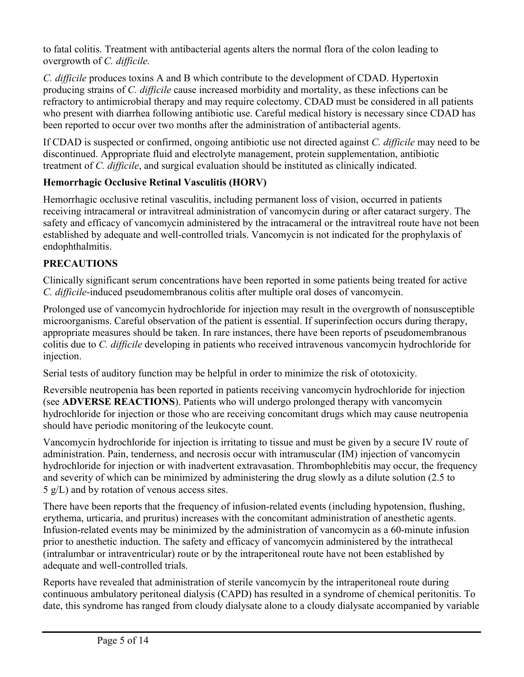to fatal colitis. Treatment with antibacterial agents alters the normal flora of the colon leading to overgrowth of *C. difficile.*

*C. difficile* produces toxins A and B which contribute to the development of CDAD. Hypertoxin producing strains of *C. difficile* cause increased morbidity and mortality, as these infections can be refractory to antimicrobial therapy and may require colectomy. CDAD must be considered in all patients who present with diarrhea following antibiotic use. Careful medical history is necessary since CDAD has been reported to occur over two months after the administration of antibacterial agents.

If CDAD is suspected or confirmed, ongoing antibiotic use not directed against *C. difficile* may need to be discontinued. Appropriate fluid and electrolyte management, protein supplementation, antibiotic treatment of *C. difficile*, and surgical evaluation should be instituted as clinically indicated.

# **Hemorrhagic Occlusive Retinal Vasculitis (HORV)**

Hemorrhagic occlusive retinal vasculitis, including permanent loss of vision, occurred in patients receiving intracameral or intravitreal administration of vancomycin during or after cataract surgery. The safety and efficacy of vancomycin administered by the intracameral or the intravitreal route have not been established by adequate and well-controlled trials. Vancomycin is not indicated for the prophylaxis of endophthalmitis.

# **PRECAUTIONS**

Clinically significant serum concentrations have been reported in some patients being treated for active *C. difficile*-induced pseudomembranous colitis after multiple oral doses of vancomycin.

Prolonged use of vancomycin hydrochloride for injection may result in the overgrowth of nonsusceptible microorganisms. Careful observation of the patient is essential. If superinfection occurs during therapy, appropriate measures should be taken. In rare instances, there have been reports of pseudomembranous colitis due to *C. difficile* developing in patients who received intravenous vancomycin hydrochloride for injection.

Serial tests of auditory function may be helpful in order to minimize the risk of ototoxicity.

Reversible neutropenia has been reported in patients receiving vancomycin hydrochloride for injection (see **ADVERSE REACTIONS**). Patients who will undergo prolonged therapy with vancomycin hydrochloride for injection or those who are receiving concomitant drugs which may cause neutropenia should have periodic monitoring of the leukocyte count.

Vancomycin hydrochloride for injection is irritating to tissue and must be given by a secure IV route of administration. Pain, tenderness, and necrosis occur with intramuscular (IM) injection of vancomycin hydrochloride for injection or with inadvertent extravasation. Thrombophlebitis may occur, the frequency and severity of which can be minimized by administering the drug slowly as a dilute solution (2.5 to 5 g/L) and by rotation of venous access sites.

There have been reports that the frequency of infusion-related events (including hypotension, flushing, erythema, urticaria, and pruritus) increases with the concomitant administration of anesthetic agents. Infusion-related events may be minimized by the administration of vancomycin as a 60-minute infusion prior to anesthetic induction. The safety and efficacy of vancomycin administered by the intrathecal (intralumbar or intraventricular) route or by the intraperitoneal route have not been established by adequate and well-controlled trials.

Reports have revealed that administration of sterile vancomycin by the intraperitoneal route during continuous ambulatory peritoneal dialysis (CAPD) has resulted in a syndrome of chemical peritonitis. To date, this syndrome has ranged from cloudy dialysate alone to a cloudy dialysate accompanied by variable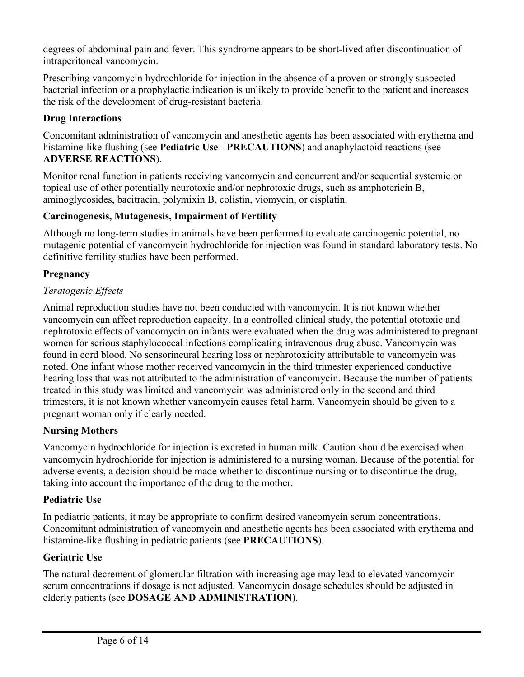degrees of abdominal pain and fever. This syndrome appears to be short-lived after discontinuation of intraperitoneal vancomycin.

Prescribing vancomycin hydrochloride for injection in the absence of a proven or strongly suspected bacterial infection or a prophylactic indication is unlikely to provide benefit to the patient and increases the risk of the development of drug-resistant bacteria.

### **Drug Interactions**

Concomitant administration of vancomycin and anesthetic agents has been associated with erythema and histamine-like flushing (see **Pediatric Use** - **PRECAUTIONS**) and anaphylactoid reactions (see **ADVERSE REACTIONS**).

Monitor renal function in patients receiving vancomycin and concurrent and/or sequential systemic or topical use of other potentially neurotoxic and/or nephrotoxic drugs, such as amphotericin B, aminoglycosides, bacitracin, polymixin B, colistin, viomycin, or cisplatin.

### **Carcinogenesis, Mutagenesis, Impairment of Fertility**

Although no long-term studies in animals have been performed to evaluate carcinogenic potential, no mutagenic potential of vancomycin hydrochloride for injection was found in standard laboratory tests. No definitive fertility studies have been performed.

### **Pregnancy**

### *Teratogenic Effects*

Animal reproduction studies have not been conducted with vancomycin. It is not known whether vancomycin can affect reproduction capacity. In a controlled clinical study, the potential ototoxic and nephrotoxic effects of vancomycin on infants were evaluated when the drug was administered to pregnant women for serious staphylococcal infections complicating intravenous drug abuse. Vancomycin was found in cord blood. No sensorineural hearing loss or nephrotoxicity attributable to vancomycin was noted. One infant whose mother received vancomycin in the third trimester experienced conductive hearing loss that was not attributed to the administration of vancomycin. Because the number of patients treated in this study was limited and vancomycin was administered only in the second and third trimesters, it is not known whether vancomycin causes fetal harm. Vancomycin should be given to a pregnant woman only if clearly needed.

### **Nursing Mothers**

Vancomycin hydrochloride for injection is excreted in human milk. Caution should be exercised when vancomycin hydrochloride for injection is administered to a nursing woman. Because of the potential for adverse events, a decision should be made whether to discontinue nursing or to discontinue the drug, taking into account the importance of the drug to the mother.

### **Pediatric Use**

In pediatric patients, it may be appropriate to confirm desired vancomycin serum concentrations. Concomitant administration of vancomycin and anesthetic agents has been associated with erythema and histamine-like flushing in pediatric patients (see **PRECAUTIONS**).

### **Geriatric Use**

The natural decrement of glomerular filtration with increasing age may lead to elevated vancomycin serum concentrations if dosage is not adjusted. Vancomycin dosage schedules should be adjusted in elderly patients (see **DOSAGE AND ADMINISTRATION**).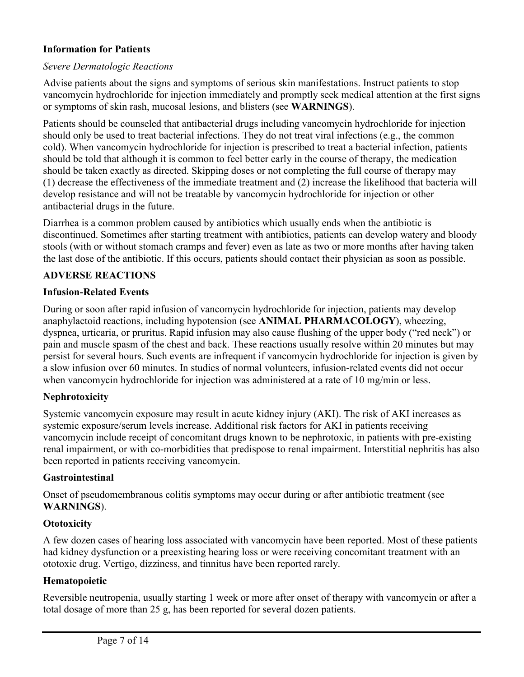### **Information for Patients**

#### *Severe Dermatologic Reactions*

Advise patients about the signs and symptoms of serious skin manifestations. Instruct patients to stop vancomycin hydrochloride for injection immediately and promptly seek medical attention at the first signs or symptoms of skin rash, mucosal lesions, and blisters (see **WARNINGS**).

Patients should be counseled that antibacterial drugs including vancomycin hydrochloride for injection should only be used to treat bacterial infections. They do not treat viral infections (e.g., the common cold). When vancomycin hydrochloride for injection is prescribed to treat a bacterial infection, patients should be told that although it is common to feel better early in the course of therapy, the medication should be taken exactly as directed. Skipping doses or not completing the full course of therapy may (1) decrease the effectiveness of the immediate treatment and (2) increase the likelihood that bacteria will develop resistance and will not be treatable by vancomycin hydrochloride for injection or other antibacterial drugs in the future.

Diarrhea is a common problem caused by antibiotics which usually ends when the antibiotic is discontinued. Sometimes after starting treatment with antibiotics, patients can develop watery and bloody stools (with or without stomach cramps and fever) even as late as two or more months after having taken the last dose of the antibiotic. If this occurs, patients should contact their physician as soon as possible.

#### **ADVERSE REACTIONS**

#### **Infusion-Related Events**

During or soon after rapid infusion of vancomycin hydrochloride for injection, patients may develop anaphylactoid reactions, including hypotension (see **ANIMAL PHARMACOLOGY**), wheezing, dyspnea, urticaria, or pruritus. Rapid infusion may also cause flushing of the upper body ("red neck") or pain and muscle spasm of the chest and back. These reactions usually resolve within 20 minutes but may persist for several hours. Such events are infrequent if vancomycin hydrochloride for injection is given by a slow infusion over 60 minutes. In studies of normal volunteers, infusion-related events did not occur when vancomycin hydrochloride for injection was administered at a rate of 10 mg/min or less.

#### **Nephrotoxicity**

Systemic vancomycin exposure may result in acute kidney injury (AKI). The risk of AKI increases as systemic exposure/serum levels increase. Additional risk factors for AKI in patients receiving vancomycin include receipt of concomitant drugs known to be nephrotoxic, in patients with pre-existing renal impairment, or with co-morbidities that predispose to renal impairment. Interstitial nephritis has also been reported in patients receiving vancomycin.

#### **Gastrointestinal**

Onset of pseudomembranous colitis symptoms may occur during or after antibiotic treatment (see **WARNINGS**).

#### **Ototoxicity**

A few dozen cases of hearing loss associated with vancomycin have been reported. Most of these patients had kidney dysfunction or a preexisting hearing loss or were receiving concomitant treatment with an ototoxic drug. Vertigo, dizziness, and tinnitus have been reported rarely.

#### **Hematopoietic**

Reversible neutropenia, usually starting 1 week or more after onset of therapy with vancomycin or after a total dosage of more than 25 g, has been reported for several dozen patients.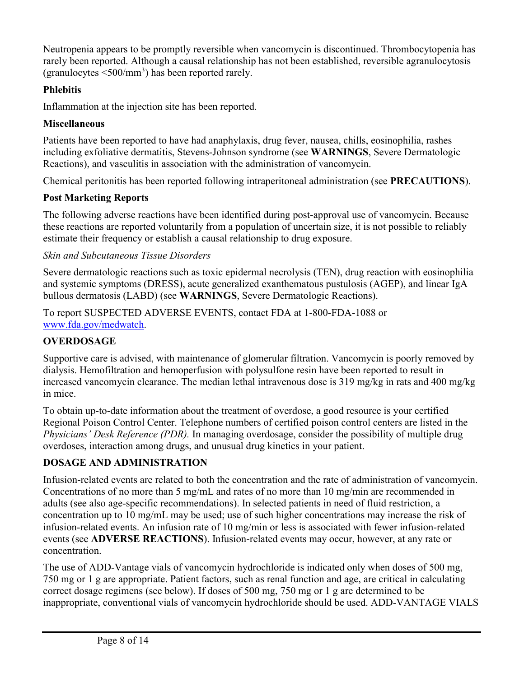Neutropenia appears to be promptly reversible when vancomycin is discontinued. Thrombocytopenia has rarely been reported. Although a causal relationship has not been established, reversible agranulocytosis (granulocytes  $\leq 500/\text{mm}^3$ ) has been reported rarely.

### **Phlebitis**

Inflammation at the injection site has been reported.

### **Miscellaneous**

Patients have been reported to have had anaphylaxis, drug fever, nausea, chills, eosinophilia, rashes including exfoliative dermatitis, Stevens-Johnson syndrome (see **WARNINGS**, Severe Dermatologic Reactions), and vasculitis in association with the administration of vancomycin.

Chemical peritonitis has been reported following intraperitoneal administration (see **PRECAUTIONS**).

## **Post Marketing Reports**

The following adverse reactions have been identified during post-approval use of vancomycin. Because these reactions are reported voluntarily from a population of uncertain size, it is not possible to reliably estimate their frequency or establish a causal relationship to drug exposure.

### *Skin and Subcutaneous Tissue Disorders*

Severe dermatologic reactions such as toxic epidermal necrolysis (TEN), drug reaction with eosinophilia and systemic symptoms (DRESS), acute generalized exanthematous pustulosis (AGEP), and linear IgA bullous dermatosis (LABD) (see **WARNINGS**, Severe Dermatologic Reactions).

To report SUSPECTED ADVERSE EVENTS, contact FDA at 1-800-FDA-1088 or [www.fda.gov/medwatch](http://www.fda.gov/medwatch).

# **OVERDOSAGE**

Supportive care is advised, with maintenance of glomerular filtration. Vancomycin is poorly removed by dialysis. Hemofiltration and hemoperfusion with polysulfone resin have been reported to result in increased vancomycin clearance. The median lethal intravenous dose is 319 mg/kg in rats and 400 mg/kg in mice.

To obtain up-to-date information about the treatment of overdose, a good resource is your certified Regional Poison Control Center. Telephone numbers of certified poison control centers are listed in the *Physicians' Desk Reference (PDR).* In managing overdosage, consider the possibility of multiple drug overdoses, interaction among drugs, and unusual drug kinetics in your patient.

# **DOSAGE AND ADMINISTRATION**

Infusion-related events are related to both the concentration and the rate of administration of vancomycin. Concentrations of no more than 5 mg/mL and rates of no more than 10 mg/min are recommended in adults (see also age-specific recommendations). In selected patients in need of fluid restriction, a concentration up to 10 mg/mL may be used; use of such higher concentrations may increase the risk of infusion-related events. An infusion rate of 10 mg/min or less is associated with fewer infusion-related events (see **ADVERSE REACTIONS**). Infusion-related events may occur, however, at any rate or concentration.

The use of ADD-Vantage vials of vancomycin hydrochloride is indicated only when doses of 500 mg, 750 mg or 1 g are appropriate. Patient factors, such as renal function and age, are critical in calculating correct dosage regimens (see below). If doses of 500 mg, 750 mg or 1 g are determined to be inappropriate, conventional vials of vancomycin hydrochloride should be used. ADD-VANTAGE VIALS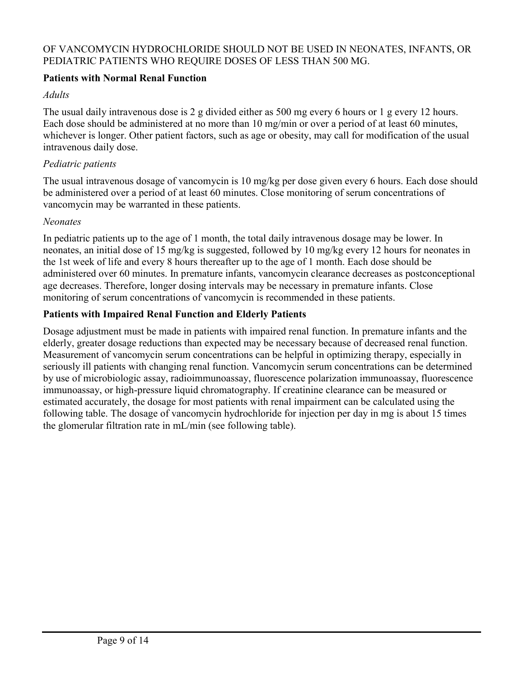#### OF VANCOMYCIN HYDROCHLORIDE SHOULD NOT BE USED IN NEONATES, INFANTS, OR PEDIATRIC PATIENTS WHO REQUIRE DOSES OF LESS THAN 500 MG.

#### **Patients with Normal Renal Function**

#### *Adults*

The usual daily intravenous dose is 2 g divided either as 500 mg every 6 hours or 1 g every 12 hours. Each dose should be administered at no more than 10 mg/min or over a period of at least 60 minutes, whichever is longer. Other patient factors, such as age or obesity, may call for modification of the usual intravenous daily dose.

#### *Pediatric patients*

The usual intravenous dosage of vancomycin is 10 mg/kg per dose given every 6 hours. Each dose should be administered over a period of at least 60 minutes. Close monitoring of serum concentrations of vancomycin may be warranted in these patients.

#### *Neonates*

In pediatric patients up to the age of 1 month, the total daily intravenous dosage may be lower. In neonates, an initial dose of 15 mg/kg is suggested, followed by 10 mg/kg every 12 hours for neonates in the 1st week of life and every 8 hours thereafter up to the age of 1 month. Each dose should be administered over 60 minutes. In premature infants, vancomycin clearance decreases as postconceptional age decreases. Therefore, longer dosing intervals may be necessary in premature infants. Close monitoring of serum concentrations of vancomycin is recommended in these patients.

### **Patients with Impaired Renal Function and Elderly Patients**

Dosage adjustment must be made in patients with impaired renal function. In premature infants and the elderly, greater dosage reductions than expected may be necessary because of decreased renal function. Measurement of vancomycin serum concentrations can be helpful in optimizing therapy, especially in seriously ill patients with changing renal function. Vancomycin serum concentrations can be determined by use of microbiologic assay, radioimmunoassay, fluorescence polarization immunoassay, fluorescence immunoassay, or high-pressure liquid chromatography. If creatinine clearance can be measured or estimated accurately, the dosage for most patients with renal impairment can be calculated using the following table. The dosage of vancomycin hydrochloride for injection per day in mg is about 15 times the glomerular filtration rate in mL/min (see following table).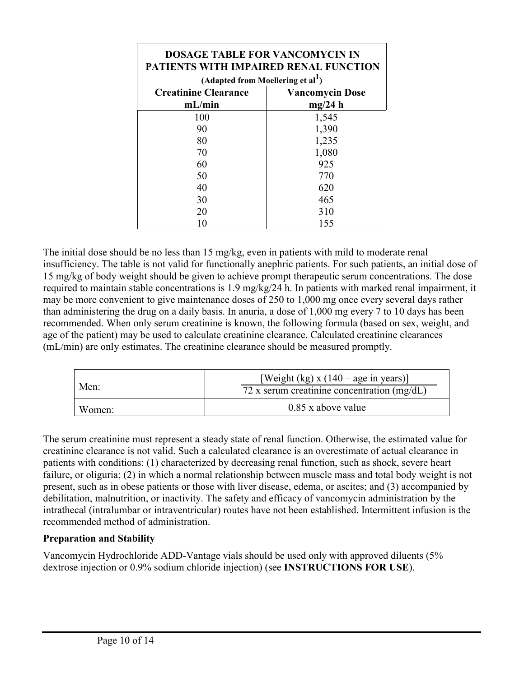| <b>DOSAGE TABLE FOR VANCOMYCIN IN</b><br><b>PATIENTS WITH IMPAIRED RENAL FUNCTION</b>  |                                   |
|----------------------------------------------------------------------------------------|-----------------------------------|
| (Adapted from Moellering et al <sup>1</sup> )<br><b>Creatinine Clearance</b><br>mL/min | <b>Vancomycin Dose</b><br>mg/24 h |
| 100<br>90                                                                              | 1,545<br>1,390                    |
| 80                                                                                     | 1,235                             |
| 70<br>60                                                                               | 1,080<br>925                      |
| 50<br>40                                                                               | 770<br>620                        |
| 30                                                                                     | 465                               |
| 20                                                                                     | 310<br>155                        |

The initial dose should be no less than 15 mg/kg, even in patients with mild to moderate renal insufficiency. The table is not valid for functionally anephric patients. For such patients, an initial dose of 15 mg/kg of body weight should be given to achieve prompt therapeutic serum concentrations. The dose required to maintain stable concentrations is 1.9 mg/kg/24 h. In patients with marked renal impairment, it may be more convenient to give maintenance doses of 250 to 1,000 mg once every several days rather than administering the drug on a daily basis. In anuria, a dose of 1,000 mg every 7 to 10 days has been recommended. When only serum creatinine is known, the following formula (based on sex, weight, and age of the patient) may be used to calculate creatinine clearance. Calculated creatinine clearances (mL/min) are only estimates. The creatinine clearance should be measured promptly.

| Men:   | [Weight (kg) x $(140 - age \text{ in years})$ ]<br>72 x serum creatinine concentration $(mg/dL)$ |
|--------|--------------------------------------------------------------------------------------------------|
| Women: | $0.85$ x above value                                                                             |

The serum creatinine must represent a steady state of renal function. Otherwise, the estimated value for creatinine clearance is not valid. Such a calculated clearance is an overestimate of actual clearance in patients with conditions: (1) characterized by decreasing renal function, such as shock, severe heart failure, or oliguria; (2) in which a normal relationship between muscle mass and total body weight is not present, such as in obese patients or those with liver disease, edema, or ascites; and (3) accompanied by debilitation, malnutrition, or inactivity. The safety and efficacy of vancomycin administration by the intrathecal (intralumbar or intraventricular) routes have not been established. Intermittent infusion is the recommended method of administration.

### **Preparation and Stability**

Vancomycin Hydrochloride ADD-Vantage vials should be used only with approved diluents (5% dextrose injection or 0.9% sodium chloride injection) (see **INSTRUCTIONS FOR USE**).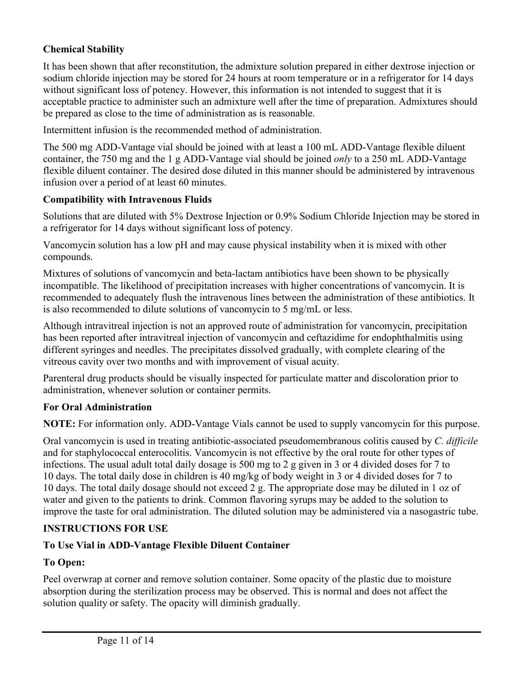### **Chemical Stability**

It has been shown that after reconstitution, the admixture solution prepared in either dextrose injection or sodium chloride injection may be stored for 24 hours at room temperature or in a refrigerator for 14 days without significant loss of potency. However, this information is not intended to suggest that it is acceptable practice to administer such an admixture well after the time of preparation. Admixtures should be prepared as close to the time of administration as is reasonable.

Intermittent infusion is the recommended method of administration.

The 500 mg ADD-Vantage vial should be joined with at least a 100 mL ADD-Vantage flexible diluent container, the 750 mg and the 1 g ADD-Vantage vial should be joined *only* to a 250 mL ADD-Vantage flexible diluent container. The desired dose diluted in this manner should be administered by intravenous infusion over a period of at least 60 minutes.

#### **Compatibility with Intravenous Fluids**

Solutions that are diluted with 5% Dextrose Injection or 0.9% Sodium Chloride Injection may be stored in a refrigerator for 14 days without significant loss of potency.

Vancomycin solution has a low pH and may cause physical instability when it is mixed with other compounds.

Mixtures of solutions of vancomycin and beta-lactam antibiotics have been shown to be physically incompatible. The likelihood of precipitation increases with higher concentrations of vancomycin. It is recommended to adequately flush the intravenous lines between the administration of these antibiotics. It is also recommended to dilute solutions of vancomycin to 5 mg/mL or less.

Although intravitreal injection is not an approved route of administration for vancomycin, precipitation has been reported after intravitreal injection of vancomycin and ceftazidime for endophthalmitis using different syringes and needles. The precipitates dissolved gradually, with complete clearing of the vitreous cavity over two months and with improvement of visual acuity.

Parenteral drug products should be visually inspected for particulate matter and discoloration prior to administration, whenever solution or container permits.

#### **For Oral Administration**

**NOTE:** For information only. ADD-Vantage Vials cannot be used to supply vancomycin for this purpose.

Oral vancomycin is used in treating antibiotic-associated pseudomembranous colitis caused by *C. difficile*  and for staphylococcal enterocolitis. Vancomycin is not effective by the oral route for other types of infections. The usual adult total daily dosage is 500 mg to 2 g given in 3 or 4 divided doses for 7 to 10 days. The total daily dose in children is 40 mg/kg of body weight in 3 or 4 divided doses for 7 to 10 days. The total daily dosage should not exceed 2 g. The appropriate dose may be diluted in 1 oz of water and given to the patients to drink. Common flavoring syrups may be added to the solution to improve the taste for oral administration. The diluted solution may be administered via a nasogastric tube.

### **INSTRUCTIONS FOR USE**

### **To Use Vial in ADD-Vantage Flexible Diluent Container**

### **To Open:**

Peel overwrap at corner and remove solution container. Some opacity of the plastic due to moisture absorption during the sterilization process may be observed. This is normal and does not affect the solution quality or safety. The opacity will diminish gradually.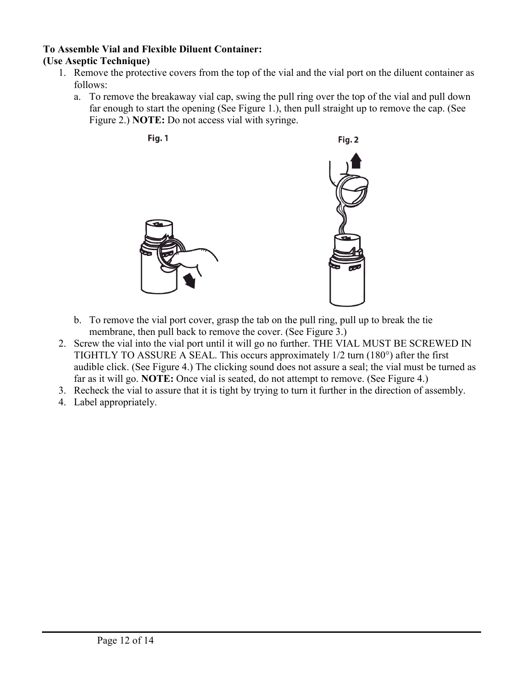#### **To Assemble Vial and Flexible Diluent Container: (Use Aseptic Technique)**

- 1. Remove the protective covers from the top of the vial and the vial port on the diluent container as follows:
	- a. To remove the breakaway vial cap, swing the pull ring over the top of the vial and pull down far enough to start the opening (See Figure 1.), then pull straight up to remove the cap. (See Figure 2.) **NOTE:** Do not access vial with syringe.



- b. To remove the vial port cover, grasp the tab on the pull ring, pull up to break the tie membrane, then pull back to remove the cover. (See Figure 3.)
- 2. Screw the vial into the vial port until it will go no further. THE VIAL MUST BE SCREWED IN TIGHTLY TO ASSURE A SEAL. This occurs approximately 1/2 turn (180°) after the first audible click. (See Figure 4.) The clicking sound does not assure a seal; the vial must be turned as far as it will go. **NOTE:** Once vial is seated, do not attempt to remove. (See Figure 4.)
- 3. Recheck the vial to assure that it is tight by trying to turn it further in the direction of assembly.
- 4. Label appropriately.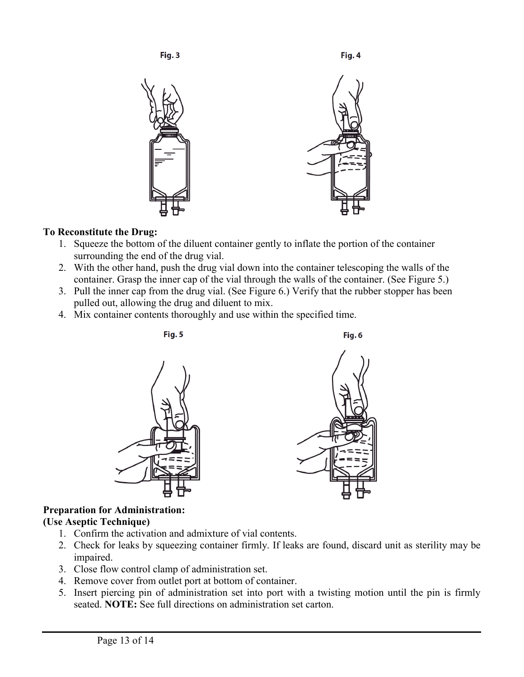

### **To Reconstitute the Drug:**

- 1. Squeeze the bottom of the diluent container gently to inflate the portion of the container surrounding the end of the drug vial.
- 2. With the other hand, push the drug vial down into the container telescoping the walls of the container. Grasp the inner cap of the vial through the walls of the container. (See Figure 5.)
- 3. Pull the inner cap from the drug vial. (See Figure 6.) Verify that the rubber stopper has been pulled out, allowing the drug and diluent to mix.
- 4. Mix container contents thoroughly and use within the specified time.



# **Preparation for Administration:**

### **(Use Aseptic Technique)**

- 1. Confirm the activation and admixture of vial contents.
- 2. Check for leaks by squeezing container firmly. If leaks are found, discard unit as sterility may be impaired.
- 3. Close flow control clamp of administration set.
- 4. Remove cover from outlet port at bottom of container.
- 5. Insert piercing pin of administration set into port with a twisting motion until the pin is firmly seated. **NOTE:** See full directions on administration set carton.